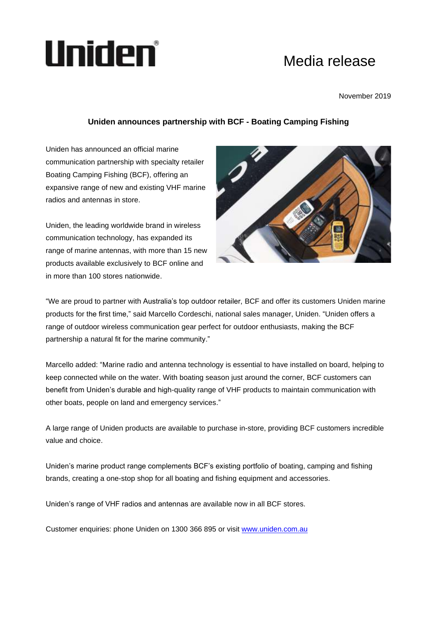## Uniden°

## Media release

November 2019

## **Uniden announces partnership with BCF - Boating Camping Fishing**

Uniden has announced an official marine communication partnership with specialty retailer Boating Camping Fishing (BCF), offering an expansive range of new and existing VHF marine radios and antennas in store.

Uniden, the leading worldwide brand in wireless communication technology, has expanded its range of marine antennas, with more than 15 new products available exclusively to BCF online and in more than 100 stores nationwide.



"We are proud to partner with Australia's top outdoor retailer, BCF and offer its customers Uniden marine products for the first time," said Marcello Cordeschi, national sales manager, Uniden. "Uniden offers a range of outdoor wireless communication gear perfect for outdoor enthusiasts, making the BCF partnership a natural fit for the marine community."

Marcello added: "Marine radio and antenna technology is essential to have installed on board, helping to keep connected while on the water. With boating season just around the corner, BCF customers can benefit from Uniden's durable and high-quality range of VHF products to maintain communication with other boats, people on land and emergency services."

A large range of Uniden products are available to purchase in-store, providing BCF customers incredible value and choice.

Uniden's marine product range complements BCF's existing portfolio of boating, camping and fishing brands, creating a one-stop shop for all boating and fishing equipment and accessories.

Uniden's range of VHF radios and antennas are available now in all BCF stores.

Customer enquiries: phone Uniden on 1300 366 895 or visit [www.uniden.com.au](http://www.uniden.com.au/)